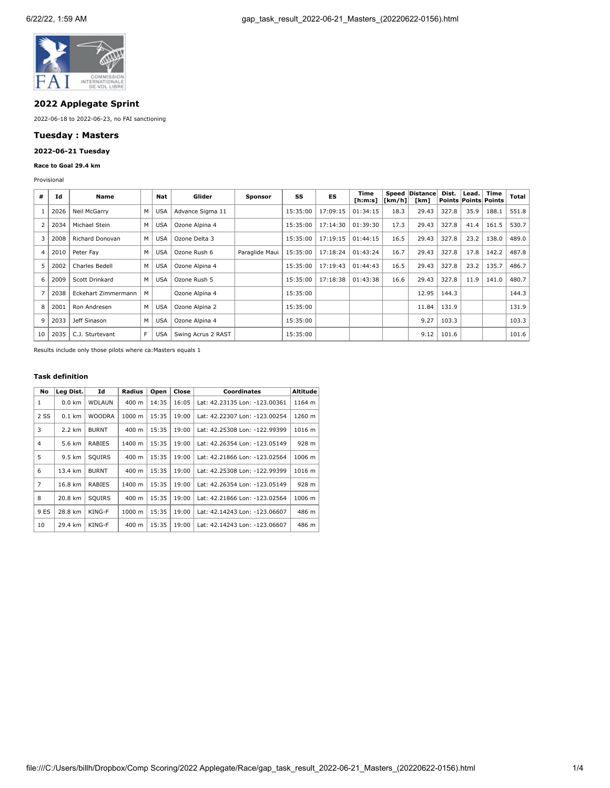

# **2022 Applegate Sprint**

2022-06-18 to 2022-06-23, no FAI sanctioning

# **Tuesday : Masters**

# **2022-06-21 Tuesday**

## **Race to Goal 29.4 km**

Provisional

| #              | Id   | Name                   |    | Nat        | Glider             | Sponsor        | SS       | ES       | Time<br>[ h: m: s] | [km/h] | Speed   Distance <br>[km] | Dist. | Lead. | Time<br><b>Points Points Points</b> | Total |
|----------------|------|------------------------|----|------------|--------------------|----------------|----------|----------|--------------------|--------|---------------------------|-------|-------|-------------------------------------|-------|
|                | 2026 | Neil McGarry           | м  | <b>USA</b> | Advance Sigma 11   |                | 15:35:00 | 17:09:15 | 01:34:15           | 18.3   | 29.43                     | 327.8 | 35.9  | 188.1                               | 551.8 |
| $\overline{2}$ | 2034 | Michael Stein          | M  | <b>USA</b> | Ozone Alpina 4     |                | 15:35:00 | 17:14:30 | 01:39:30           | 17.3   | 29.43                     | 327.8 | 41.4  | 161.5                               | 530.7 |
| 3              | 2008 | <b>Richard Donovan</b> | M  | <b>USA</b> | Ozone Delta 3      |                | 15:35:00 | 17:19:15 | 01:44:15           | 16.5   | 29.43                     | 327.8 | 23.2  | 138.0                               | 489.0 |
| 4              | 2010 | Peter Fav              | м  | <b>USA</b> | Ozone Rush 6       | Paraglide Maui | 15:35:00 | 17:18:24 | 01:43:24           | 16.7   | 29.43                     | 327.8 | 17.8  | 142.2                               | 487.8 |
| 5              | 2002 | Charles Bedell         | M  | <b>USA</b> | Ozone Alpina 4     |                | 15:35:00 | 17:19:43 | 01:44:43           | 16.5   | 29.43                     | 327.8 | 23.2  | 135.7                               | 486.7 |
| 6              | 2009 | Scott Drinkard         | M  | <b>USA</b> | Ozone Rush 5       |                | 15:35:00 | 17:18:38 | 01:43:38           | 16.6   | 29.43                     | 327.8 | 11.9  | 141.0                               | 480.7 |
| 7              | 2038 | Eckehart Zimmermann    | м  |            | Ozone Alpina 4     |                | 15:35:00 |          |                    |        | 12.95                     | 144.3 |       |                                     | 144.3 |
| 8              | 2001 | Ron Andresen           | м  | <b>USA</b> | Ozone Alpina 2     |                | 15:35:00 |          |                    |        | 11.84                     | 131.9 |       |                                     | 131.9 |
| 9              | 2033 | Jeff Sinason           | M  | <b>USA</b> | Ozone Alpina 4     |                | 15:35:00 |          |                    |        | 9.27                      | 103.3 |       |                                     | 103.3 |
| 10             | 2035 | C.J. Sturtevant        | F. | <b>USA</b> | Swing Acrus 2 RAST |                | 15:35:00 |          |                    |        | 9.12                      | 101.6 |       |                                     | 101.6 |

Results include only those pilots where ca:Masters equals 1

## **Task definition**

| No   | Leg Dist. | Id            | Radius          | Open  | Close | <b>Coordinates</b>            | Altitude |
|------|-----------|---------------|-----------------|-------|-------|-------------------------------|----------|
| 1    | $0.0$ km  | <b>WDLAUN</b> | 400 m           | 14:35 | 16:05 | Lat: 42.23135 Lon: -123.00361 | 1164 m   |
| 2 SS | $0.1$ km  | <b>WOODRA</b> | 1000 m          | 15:35 | 19:00 | Lat: 42.22307 Lon: -123.00254 | 1260 m   |
| 3    | 2.2 km    | <b>BURNT</b>  | 400 m           | 15:35 | 19:00 | Lat: 42.25308 Lon: -122.99399 | 1016 m   |
| 4    | 5.6 km    | <b>RABIES</b> | 1400 m          | 15:35 | 19:00 | Lat: 42.26354 Lon: -123.05149 | 928 m    |
| 5    | 9.5 km    | SQUIRS        | $400 \text{ m}$ | 15:35 | 19:00 | Lat: 42.21866 Lon: -123.02564 | 1006 m   |
| 6    | 13.4 km   | <b>BURNT</b>  | $400 \text{ m}$ | 15:35 | 19:00 | Lat: 42.25308 Lon: -122.99399 | 1016 m   |
| 7    | 16.8 km   | <b>RABIES</b> | 1400 m          | 15:35 | 19:00 | Lat: 42.26354 Lon: -123.05149 | 928 m    |
| 8    | 20.8 km   | SQUIRS        | 400 m           | 15:35 | 19:00 | Lat: 42.21866 Lon: -123.02564 | 1006 m   |
| 9 ES | 28.8 km   | KING-F        | 1000 m          | 15:35 | 19:00 | Lat: 42.14243 Lon: -123.06607 | 486 m    |
| 10   | 29.4 km   | KING-F        | 400 m           | 15:35 | 19:00 | Lat: 42.14243 Lon: -123.06607 | 486 m    |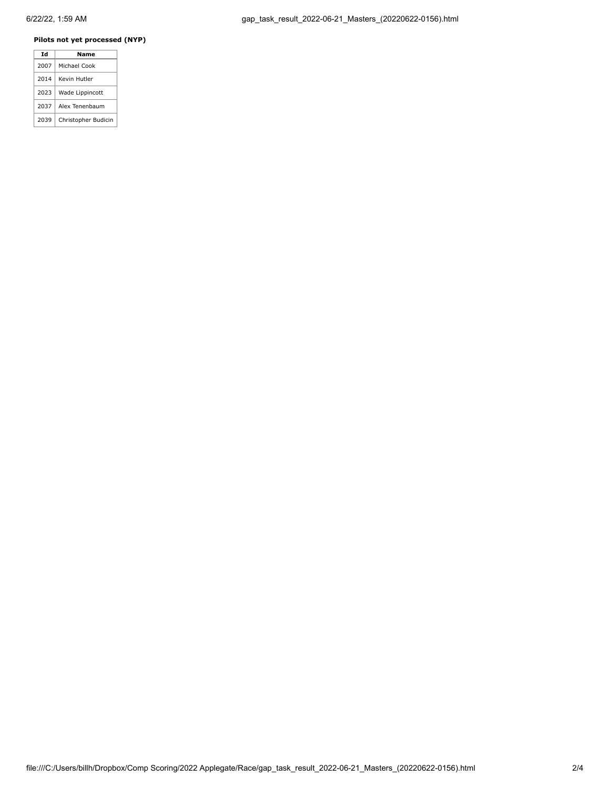## **Pilots not yet processed (NYP)**

|  | Td   | Name                |
|--|------|---------------------|
|  | 2007 | Michael Cook        |
|  | 2014 | Kevin Hutler        |
|  | 2023 | Wade Lippincott     |
|  | 2037 | Alex Tenenbaum      |
|  | 2039 | Christopher Budicin |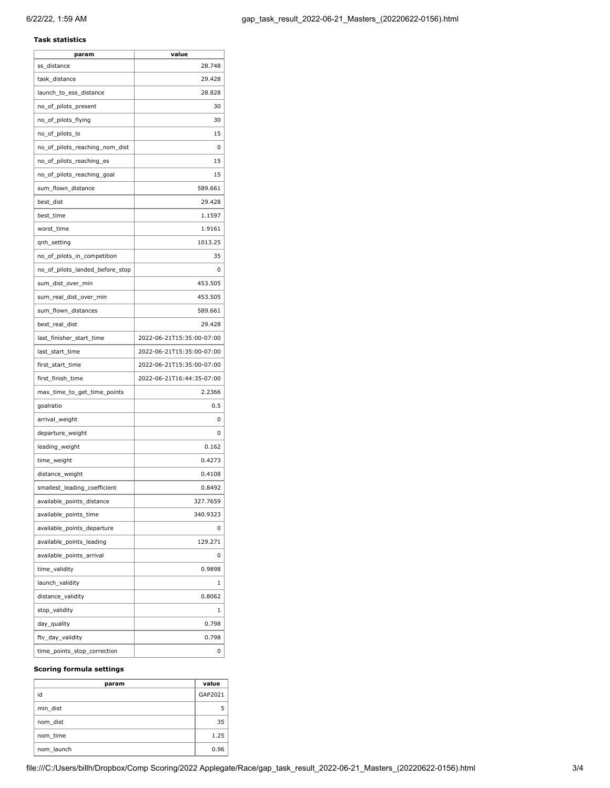## **Task statistics**

| param                           | value                     |
|---------------------------------|---------------------------|
| ss_distance                     | 28.748                    |
| task distance                   | 29.428                    |
| launch_to_ess_distance          | 28.828                    |
| no_of_pilots_present            | 30                        |
| no_of_pilots_flying             | 30                        |
| no_of_pilots_lo                 | 15                        |
| no_of_pilots_reaching_nom_dist  | 0                         |
| no_of_pilots_reaching_es        | 15                        |
| no_of_pilots_reaching_goal      | 15                        |
| sum_flown_distance              | 589.661                   |
| best_dist                       | 29.428                    |
| best_time                       | 1.1597                    |
| worst_time                      | 1.9161                    |
| qnh_setting                     | 1013.25                   |
| no_of_pilots_in_competition     | 35                        |
| no_of_pilots_landed_before_stop | 0                         |
| sum_dist_over_min               | 453.505                   |
| sum_real_dist_over_min          | 453.505                   |
| sum_flown_distances             | 589.661                   |
| best_real_dist                  | 29.428                    |
| last_finisher_start_time        | 2022-06-21T15:35:00-07:00 |
| last_start_time                 | 2022-06-21T15:35:00-07:00 |
| first_start_time                | 2022-06-21T15:35:00-07:00 |
| first_finish_time               | 2022-06-21T16:44:35-07:00 |
| max_time_to_get_time_points     | 2.2366                    |
| goalratio                       | 0.5                       |
| arrival_weight                  | 0                         |
| departure_weight                | 0                         |
| leading_weight                  | 0.162                     |
| time_weight                     | 0.4273                    |
| distance_weight                 | 0.4108                    |
| smallest_leading_coefficient    | 0.8492                    |
| available_points_distance       | 327.7659                  |
| available_points_time           | 340.9323                  |
| available_points_departure      | 0                         |
| available_points_leading        | 129.271                   |
| available_points_arrival        | 0                         |
| time_validity                   | 0.9898                    |
| launch_validity                 | 1                         |
| distance_validity               | 0.8062                    |
| stop_validity                   | 1                         |
| day_quality                     | 0.798                     |
| ftv_day_validity                | 0.798                     |
| time_points_stop_correction     | 0                         |

## **Scoring formula settings**

| param      | value   |
|------------|---------|
| id         | GAP2021 |
| min dist   |         |
| nom dist   | 35      |
| nom time   | 1.25    |
| nom launch | 0.96    |